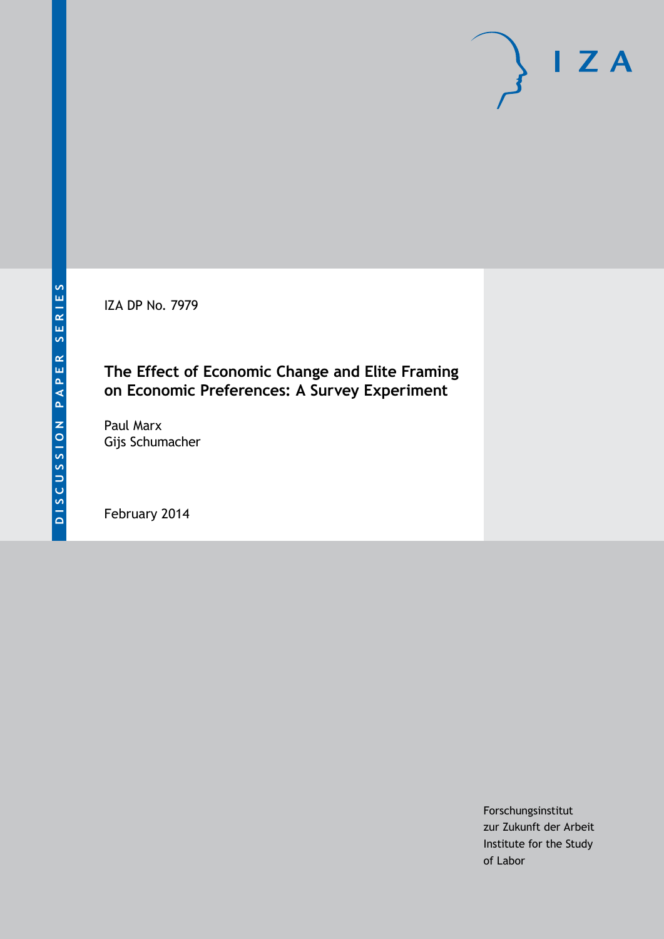IZA DP No. 7979

## **The Effect of Economic Change and Elite Framing on Economic Preferences: A Survey Experiment**

Paul Marx Gijs Schumacher

February 2014

Forschungsinstitut zur Zukunft der Arbeit Institute for the Study of Labor

 $I Z A$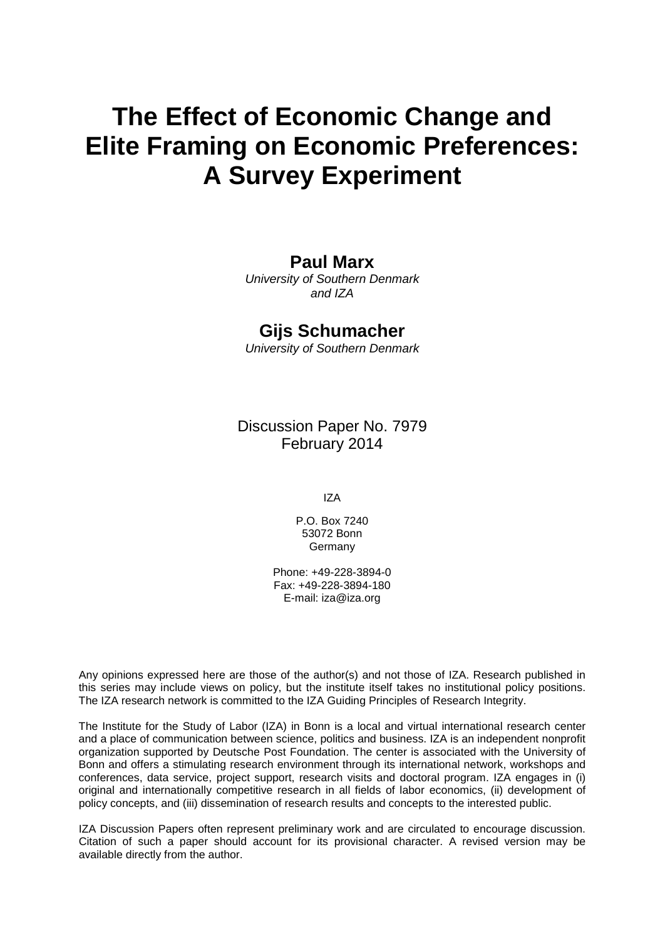# **The Effect of Economic Change and Elite Framing on Economic Preferences: A Survey Experiment**

### **Paul Marx**

*University of Southern Denmark and IZA*

### **Gijs Schumacher**

*University of Southern Denmark*

Discussion Paper No. 7979 February 2014

IZA

P.O. Box 7240 53072 Bonn Germany

Phone: +49-228-3894-0 Fax: +49-228-3894-180 E-mail: [iza@iza.org](mailto:iza@iza.org)

Any opinions expressed here are those of the author(s) and not those of IZA. Research published in this series may include views on policy, but the institute itself takes no institutional policy positions. The IZA research network is committed to the IZA Guiding Principles of Research Integrity.

The Institute for the Study of Labor (IZA) in Bonn is a local and virtual international research center and a place of communication between science, politics and business. IZA is an independent nonprofit organization supported by Deutsche Post Foundation. The center is associated with the University of Bonn and offers a stimulating research environment through its international network, workshops and conferences, data service, project support, research visits and doctoral program. IZA engages in (i) original and internationally competitive research in all fields of labor economics, (ii) development of policy concepts, and (iii) dissemination of research results and concepts to the interested public.

<span id="page-1-0"></span>IZA Discussion Papers often represent preliminary work and are circulated to encourage discussion. Citation of such a paper should account for its provisional character. A revised version may be available directly from the author.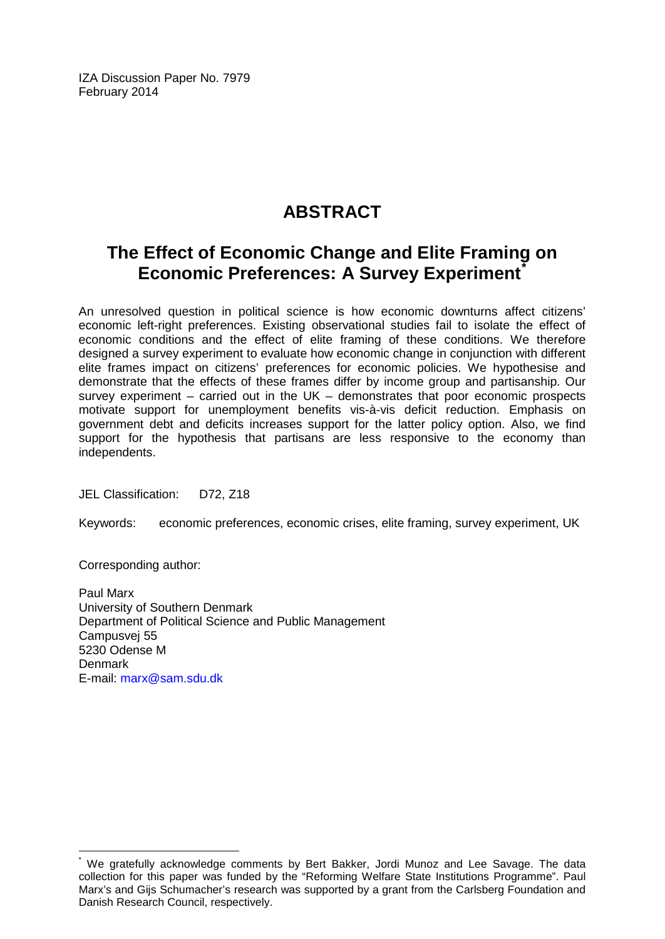IZA Discussion Paper No. 7979 February 2014

# **ABSTRACT**

# **The Effect of Economic Change and Elite Framing on Economic Preferences: A Survey Experiment[\\*](#page-1-0)**

An unresolved question in political science is how economic downturns affect citizens' economic left-right preferences. Existing observational studies fail to isolate the effect of economic conditions and the effect of elite framing of these conditions. We therefore designed a survey experiment to evaluate how economic change in conjunction with different elite frames impact on citizens' preferences for economic policies. We hypothesise and demonstrate that the effects of these frames differ by income group and partisanship. Our survey experiment – carried out in the UK – demonstrates that poor economic prospects motivate support for unemployment benefits vis-à-vis deficit reduction. Emphasis on government debt and deficits increases support for the latter policy option. Also, we find support for the hypothesis that partisans are less responsive to the economy than independents.

JEL Classification: D72, Z18

Keywords: economic preferences, economic crises, elite framing, survey experiment, UK

Corresponding author:

Paul Marx University of Southern Denmark Department of Political Science and Public Management Campusvej 55 5230 Odense M **Denmark** E-mail: [marx@sam.sdu.dk](mailto:marx@sam.sdu.dk)

We gratefully acknowledge comments by Bert Bakker, Jordi Munoz and Lee Savage. The data collection for this paper was funded by the "Reforming Welfare State Institutions Programme". Paul Marx's and Gijs Schumacher's research was supported by a grant from the Carlsberg Foundation and Danish Research Council, respectively.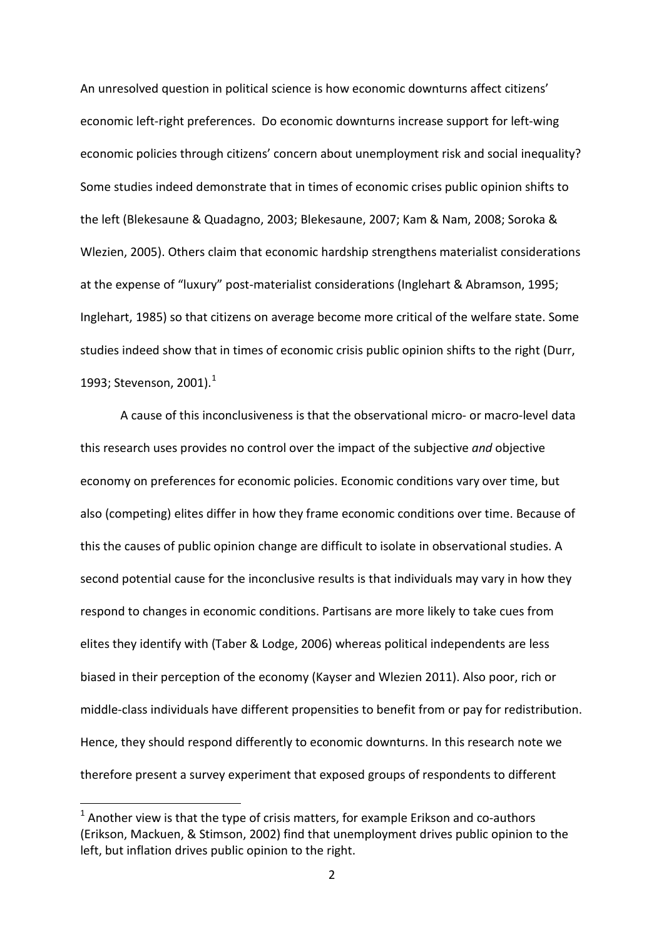An unresolved question in political science is how economic downturns affect citizens' economic left-right preferences. Do economic downturns increase support for left-wing economic policies through citizens' concern about unemployment risk and social inequality? Some studies indeed demonstrate that in times of economic crises public opinion shifts to the left (Blekesaune & Quadagno, 2003; Blekesaune, 2007; Kam & Nam, 2008; Soroka & Wlezien, 2005). Others claim that economic hardship strengthens materialist considerations at the expense of "luxury" post-materialist considerations (Inglehart & Abramson, 1995; Inglehart, 1985) so that citizens on average become more critical of the welfare state. Some studies indeed show that in times of economic crisis public opinion shifts to the right (Durr, [1](#page-3-0)993; Stevenson, 2001).<sup>1</sup>

A cause of this inconclusiveness is that the observational micro- or macro-level data this research uses provides no control over the impact of the subjective *and* objective economy on preferences for economic policies. Economic conditions vary over time, but also (competing) elites differ in how they frame economic conditions over time. Because of this the causes of public opinion change are difficult to isolate in observational studies. A second potential cause for the inconclusive results is that individuals may vary in how they respond to changes in economic conditions. Partisans are more likely to take cues from elites they identify with (Taber & Lodge, 2006) whereas political independents are less biased in their perception of the economy (Kayser and Wlezien 2011). Also poor, rich or middle-class individuals have different propensities to benefit from or pay for redistribution. Hence, they should respond differently to economic downturns. In this research note we therefore present a survey experiment that exposed groups of respondents to different

<span id="page-3-0"></span> $1$  Another view is that the type of crisis matters, for example Erikson and co-authors (Erikson, Mackuen, & Stimson, 2002) find that unemployment drives public opinion to the left, but inflation drives public opinion to the right.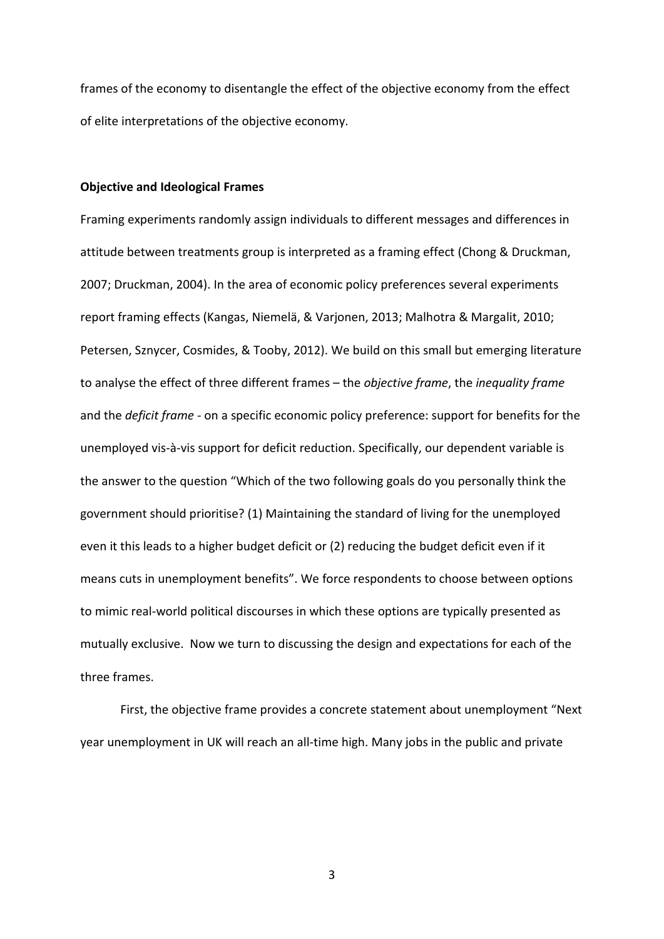frames of the economy to disentangle the effect of the objective economy from the effect of elite interpretations of the objective economy.

#### **Objective and Ideological Frames**

Framing experiments randomly assign individuals to different messages and differences in attitude between treatments group is interpreted as a framing effect (Chong & Druckman, 2007; Druckman, 2004). In the area of economic policy preferences several experiments report framing effects (Kangas, Niemelä, & Varjonen, 2013; Malhotra & Margalit, 2010; Petersen, Sznycer, Cosmides, & Tooby, 2012). We build on this small but emerging literature to analyse the effect of three different frames – the *objective frame*, the *inequality frame* and the *deficit frame* - on a specific economic policy preference: support for benefits for the unemployed vis-à-vis support for deficit reduction. Specifically, our dependent variable is the answer to the question "Which of the two following goals do you personally think the government should prioritise? (1) Maintaining the standard of living for the unemployed even it this leads to a higher budget deficit or (2) reducing the budget deficit even if it means cuts in unemployment benefits". We force respondents to choose between options to mimic real-world political discourses in which these options are typically presented as mutually exclusive. Now we turn to discussing the design and expectations for each of the three frames.

First, the objective frame provides a concrete statement about unemployment "Next year unemployment in UK will reach an all-time high. Many jobs in the public and private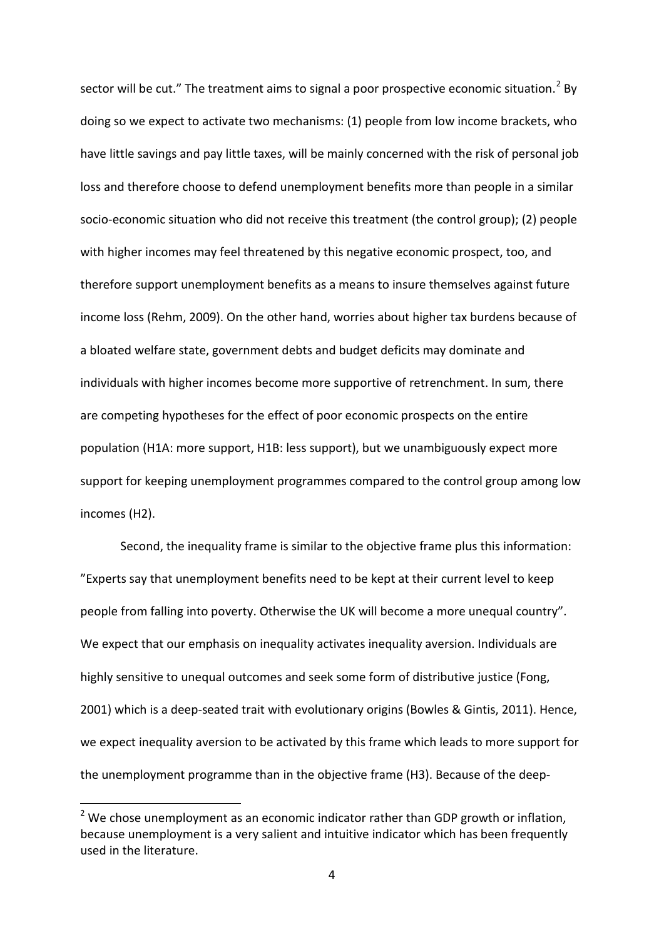sector will be cut." The treatment aims to signal a poor prospective economic situation.<sup>[2](#page-3-0)</sup> Bv doing so we expect to activate two mechanisms: (1) people from low income brackets, who have little savings and pay little taxes, will be mainly concerned with the risk of personal job loss and therefore choose to defend unemployment benefits more than people in a similar socio-economic situation who did not receive this treatment (the control group); (2) people with higher incomes may feel threatened by this negative economic prospect, too, and therefore support unemployment benefits as a means to insure themselves against future income loss (Rehm, 2009). On the other hand, worries about higher tax burdens because of a bloated welfare state, government debts and budget deficits may dominate and individuals with higher incomes become more supportive of retrenchment. In sum, there are competing hypotheses for the effect of poor economic prospects on the entire population (H1A: more support, H1B: less support), but we unambiguously expect more support for keeping unemployment programmes compared to the control group among low incomes (H2).

Second, the inequality frame is similar to the objective frame plus this information: "Experts say that unemployment benefits need to be kept at their current level to keep people from falling into poverty. Otherwise the UK will become a more unequal country". We expect that our emphasis on inequality activates inequality aversion. Individuals are highly sensitive to unequal outcomes and seek some form of distributive justice (Fong, 2001) which is a deep-seated trait with evolutionary origins (Bowles & Gintis, 2011). Hence, we expect inequality aversion to be activated by this frame which leads to more support for the unemployment programme than in the objective frame (H3). Because of the deep-

<span id="page-5-0"></span> $2$  We chose unemployment as an economic indicator rather than GDP growth or inflation, because unemployment is a very salient and intuitive indicator which has been frequently used in the literature.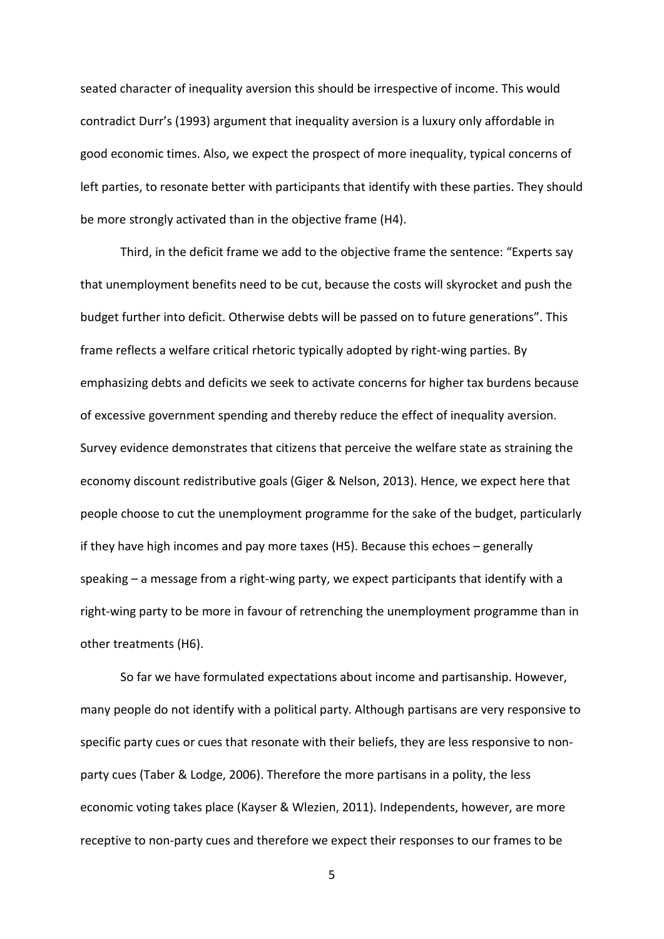seated character of inequality aversion this should be irrespective of income. This would contradict Durr's (1993) argument that inequality aversion is a luxury only affordable in good economic times. Also, we expect the prospect of more inequality, typical concerns of left parties, to resonate better with participants that identify with these parties. They should be more strongly activated than in the objective frame (H4).

Third, in the deficit frame we add to the objective frame the sentence: "Experts say that unemployment benefits need to be cut, because the costs will skyrocket and push the budget further into deficit. Otherwise debts will be passed on to future generations". This frame reflects a welfare critical rhetoric typically adopted by right-wing parties. By emphasizing debts and deficits we seek to activate concerns for higher tax burdens because of excessive government spending and thereby reduce the effect of inequality aversion. Survey evidence demonstrates that citizens that perceive the welfare state as straining the economy discount redistributive goals (Giger & Nelson, 2013). Hence, we expect here that people choose to cut the unemployment programme for the sake of the budget, particularly if they have high incomes and pay more taxes (H5). Because this echoes – generally speaking – a message from a right-wing party, we expect participants that identify with a right-wing party to be more in favour of retrenching the unemployment programme than in other treatments (H6).

So far we have formulated expectations about income and partisanship. However, many people do not identify with a political party. Although partisans are very responsive to specific party cues or cues that resonate with their beliefs, they are less responsive to nonparty cues (Taber & Lodge, 2006). Therefore the more partisans in a polity, the less economic voting takes place (Kayser & Wlezien, 2011). Independents, however, are more receptive to non-party cues and therefore we expect their responses to our frames to be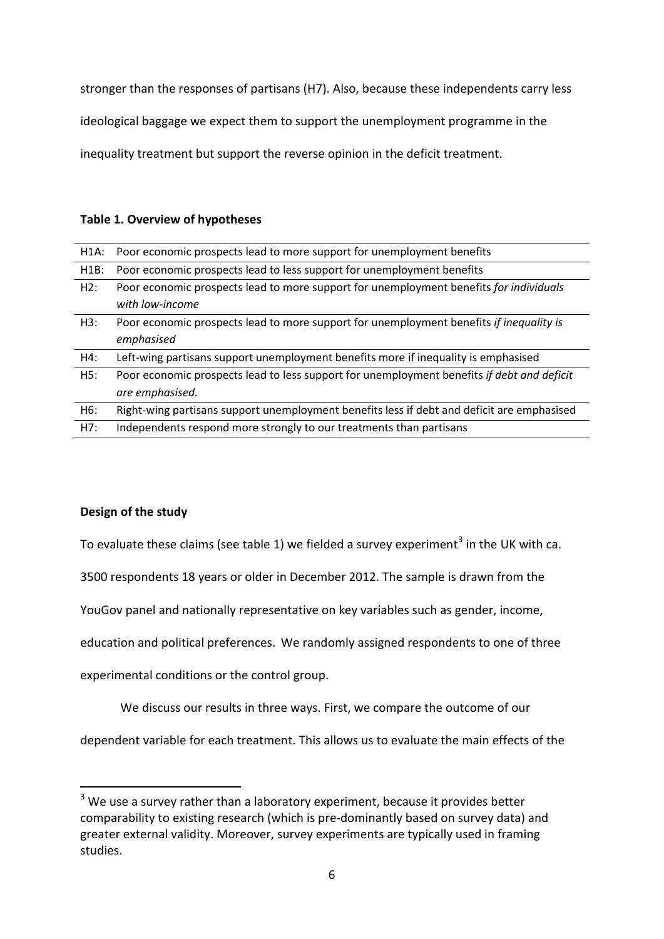stronger than the responses of partisans (H7). Also, because these independents carry less

ideological baggage we expect them to support the unemployment programme in the

inequality treatment but support the reverse opinion in the deficit treatment.

#### **Table 1. Overview of hypotheses**

|      | H1A: Poor economic prospects lead to more support for unemployment benefits                |
|------|--------------------------------------------------------------------------------------------|
| H1B: | Poor economic prospects lead to less support for unemployment benefits                     |
| H2:  | Poor economic prospects lead to more support for unemployment benefits for individuals     |
|      | with low-income                                                                            |
| H3:  | Poor economic prospects lead to more support for unemployment benefits if inequality is    |
|      | emphasised                                                                                 |
| H4:  | Left-wing partisans support unemployment benefits more if inequality is emphasised         |
| H5:  | Poor economic prospects lead to less support for unemployment benefits if debt and deficit |
|      | are emphasised.                                                                            |
| H6:  | Right-wing partisans support unemployment benefits less if debt and deficit are emphasised |
| H7:  | Independents respond more strongly to our treatments than partisans                        |

### **Design of the study**

To evaluate these claims (see table 1) we fielded a survey experiment<sup>[3](#page-5-0)</sup> in the UK with ca.

3500 respondents 18 years or older in December 2012. The sample is drawn from the

YouGov panel and nationally representative on key variables such as gender, income,

education and political preferences. We randomly assigned respondents to one of three

experimental conditions or the control group.

We discuss our results in three ways. First, we compare the outcome of our

dependent variable for each treatment. This allows us to evaluate the main effects of the

 $3$  We use a survey rather than a laboratory experiment, because it provides better comparability to existing research (which is pre-dominantly based on survey data) and greater external validity. Moreover, survey experiments are typically used in framing studies.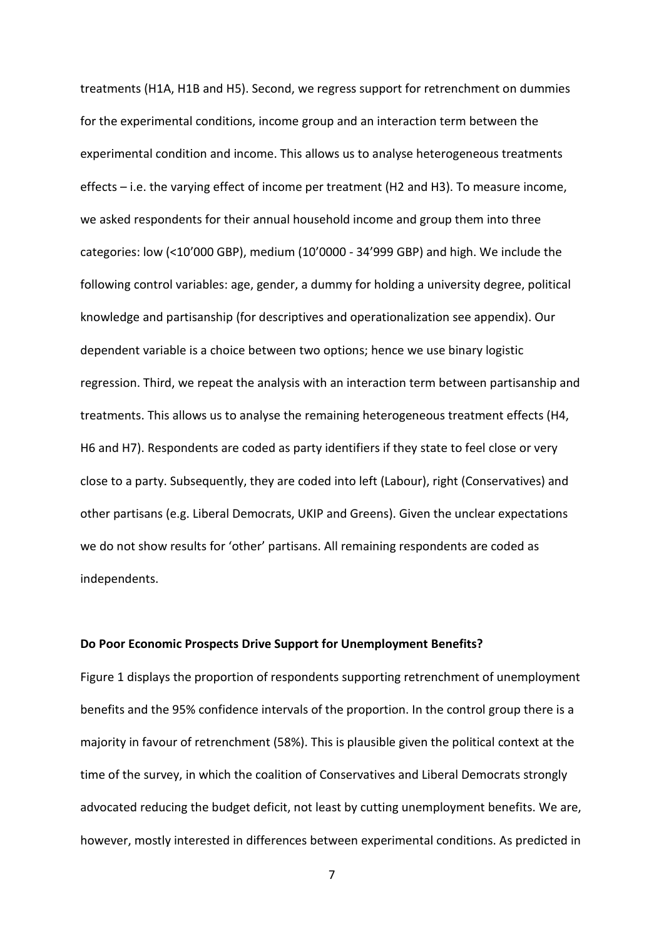treatments (H1A, H1B and H5). Second, we regress support for retrenchment on dummies for the experimental conditions, income group and an interaction term between the experimental condition and income. This allows us to analyse heterogeneous treatments effects – i.e. the varying effect of income per treatment (H2 and H3). To measure income, we asked respondents for their annual household income and group them into three categories: low (<10'000 GBP), medium (10'0000 - 34'999 GBP) and high. We include the following control variables: age, gender, a dummy for holding a university degree, political knowledge and partisanship (for descriptives and operationalization see appendix). Our dependent variable is a choice between two options; hence we use binary logistic regression. Third, we repeat the analysis with an interaction term between partisanship and treatments. This allows us to analyse the remaining heterogeneous treatment effects (H4, H6 and H7). Respondents are coded as party identifiers if they state to feel close or very close to a party. Subsequently, they are coded into left (Labour), right (Conservatives) and other partisans (e.g. Liberal Democrats, UKIP and Greens). Given the unclear expectations we do not show results for 'other' partisans. All remaining respondents are coded as independents.

#### **Do Poor Economic Prospects Drive Support for Unemployment Benefits?**

Figure 1 displays the proportion of respondents supporting retrenchment of unemployment benefits and the 95% confidence intervals of the proportion. In the control group there is a majority in favour of retrenchment (58%). This is plausible given the political context at the time of the survey, in which the coalition of Conservatives and Liberal Democrats strongly advocated reducing the budget deficit, not least by cutting unemployment benefits. We are, however, mostly interested in differences between experimental conditions. As predicted in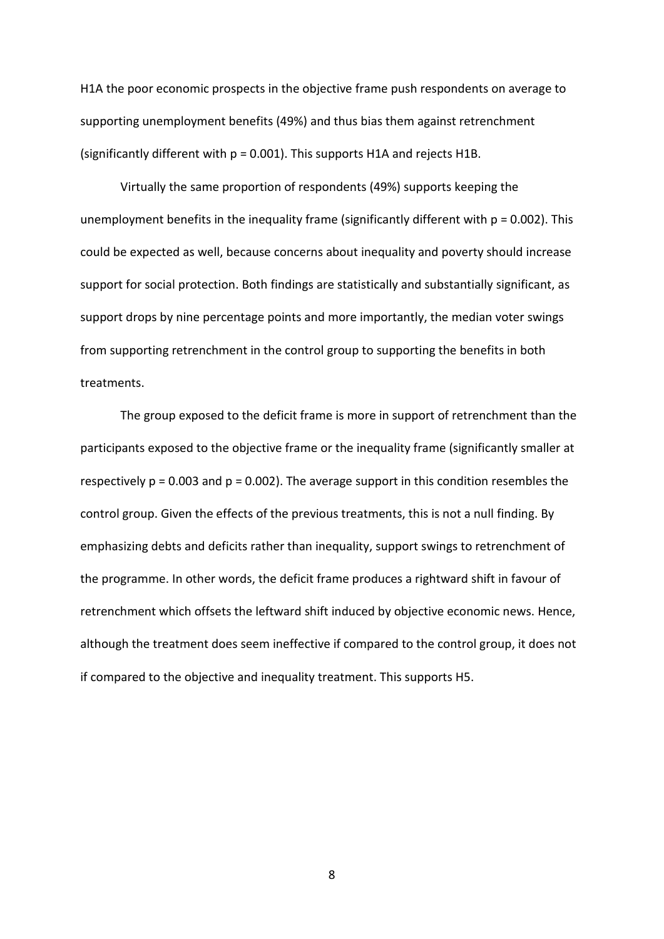H1A the poor economic prospects in the objective frame push respondents on average to supporting unemployment benefits (49%) and thus bias them against retrenchment (significantly different with  $p = 0.001$ ). This supports H1A and rejects H1B.

Virtually the same proportion of respondents (49%) supports keeping the unemployment benefits in the inequality frame (significantly different with  $p = 0.002$ ). This could be expected as well, because concerns about inequality and poverty should increase support for social protection. Both findings are statistically and substantially significant, as support drops by nine percentage points and more importantly, the median voter swings from supporting retrenchment in the control group to supporting the benefits in both treatments.

The group exposed to the deficit frame is more in support of retrenchment than the participants exposed to the objective frame or the inequality frame (significantly smaller at respectively  $p = 0.003$  and  $p = 0.002$ ). The average support in this condition resembles the control group. Given the effects of the previous treatments, this is not a null finding. By emphasizing debts and deficits rather than inequality, support swings to retrenchment of the programme. In other words, the deficit frame produces a rightward shift in favour of retrenchment which offsets the leftward shift induced by objective economic news. Hence, although the treatment does seem ineffective if compared to the control group, it does not if compared to the objective and inequality treatment. This supports H5.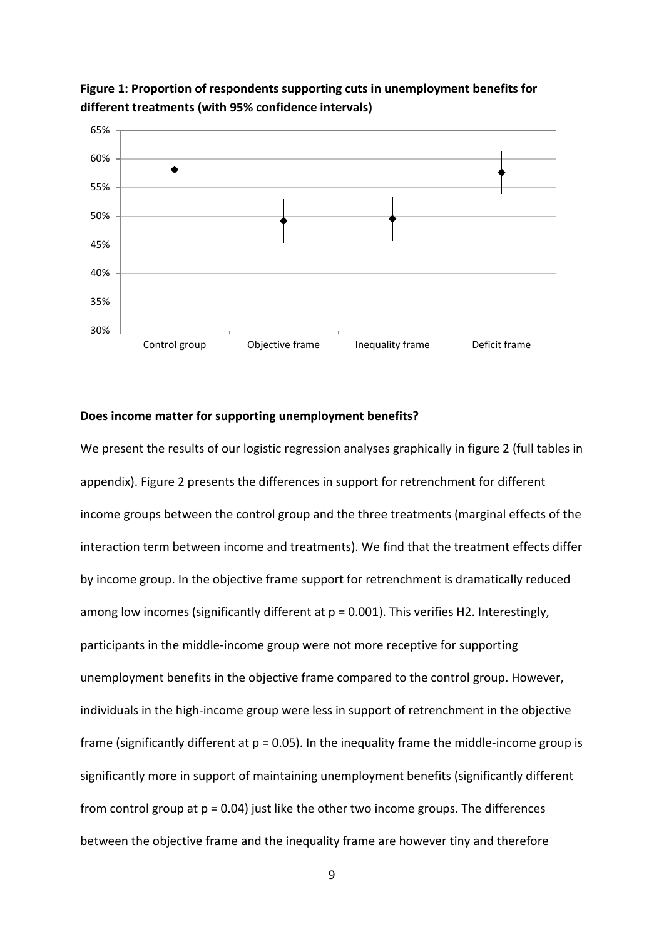

**Figure 1: Proportion of respondents supporting cuts in unemployment benefits for different treatments (with 95% confidence intervals)**

#### **Does income matter for supporting unemployment benefits?**

We present the results of our logistic regression analyses graphically in figure 2 (full tables in appendix). Figure 2 presents the differences in support for retrenchment for different income groups between the control group and the three treatments (marginal effects of the interaction term between income and treatments). We find that the treatment effects differ by income group. In the objective frame support for retrenchment is dramatically reduced among low incomes (significantly different at  $p = 0.001$ ). This verifies H2. Interestingly, participants in the middle-income group were not more receptive for supporting unemployment benefits in the objective frame compared to the control group. However, individuals in the high-income group were less in support of retrenchment in the objective frame (significantly different at  $p = 0.05$ ). In the inequality frame the middle-income group is significantly more in support of maintaining unemployment benefits (significantly different from control group at  $p = 0.04$ ) just like the other two income groups. The differences between the objective frame and the inequality frame are however tiny and therefore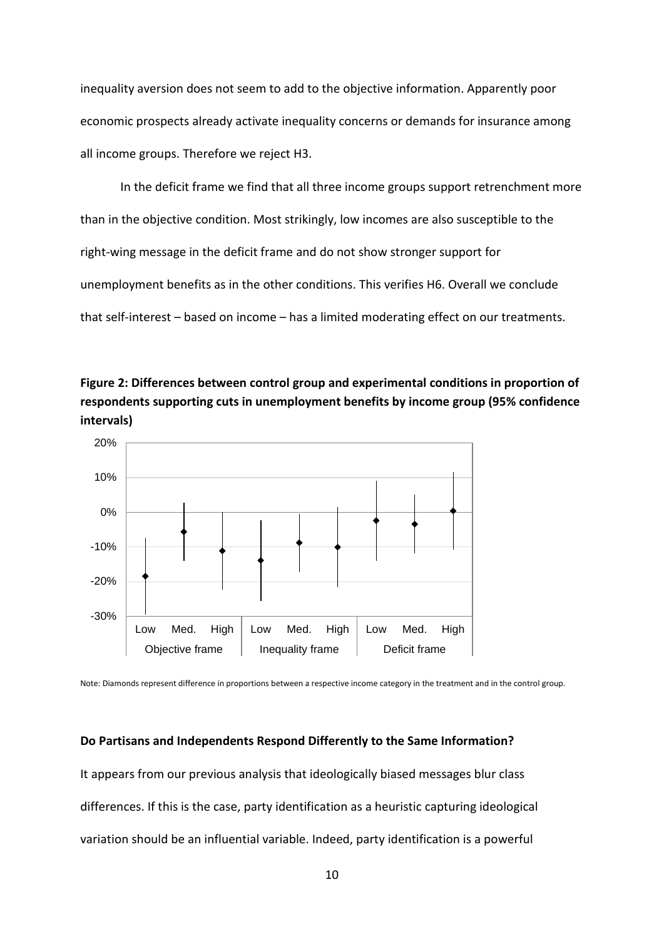inequality aversion does not seem to add to the objective information. Apparently poor economic prospects already activate inequality concerns or demands for insurance among all income groups. Therefore we reject H3.

In the deficit frame we find that all three income groups support retrenchment more than in the objective condition. Most strikingly, low incomes are also susceptible to the right-wing message in the deficit frame and do not show stronger support for unemployment benefits as in the other conditions. This verifies H6. Overall we conclude that self-interest – based on income – has a limited moderating effect on our treatments.





Note: Diamonds represent difference in proportions between a respective income category in the treatment and in the control group.

#### **Do Partisans and Independents Respond Differently to the Same Information?**

It appears from our previous analysis that ideologically biased messages blur class differences. If this is the case, party identification as a heuristic capturing ideological variation should be an influential variable. Indeed, party identification is a powerful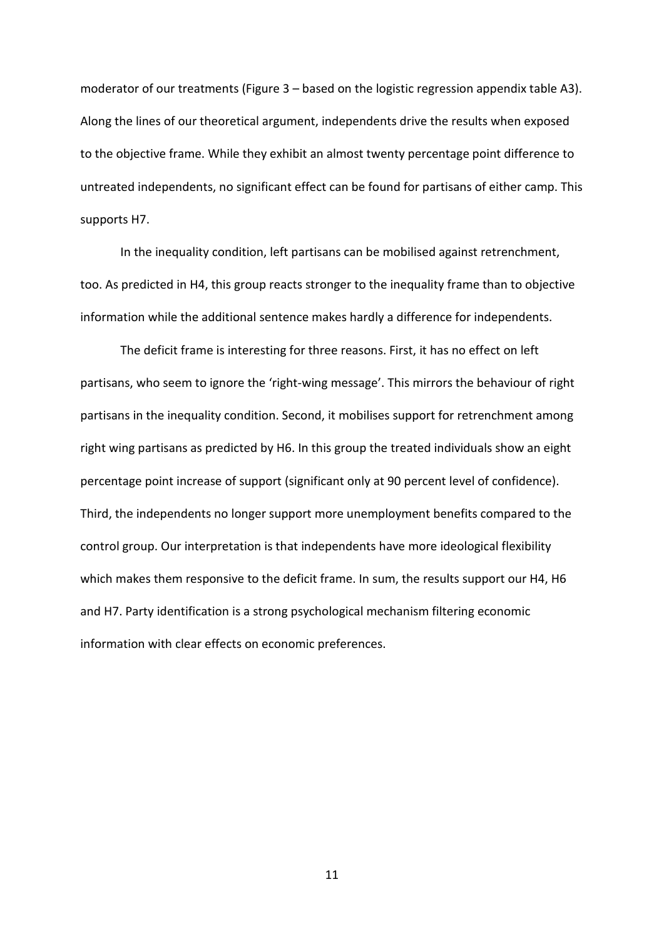moderator of our treatments (Figure 3 – based on the logistic regression appendix table A3). Along the lines of our theoretical argument, independents drive the results when exposed to the objective frame. While they exhibit an almost twenty percentage point difference to untreated independents, no significant effect can be found for partisans of either camp. This supports H7.

In the inequality condition, left partisans can be mobilised against retrenchment, too. As predicted in H4, this group reacts stronger to the inequality frame than to objective information while the additional sentence makes hardly a difference for independents.

The deficit frame is interesting for three reasons. First, it has no effect on left partisans, who seem to ignore the 'right-wing message'. This mirrors the behaviour of right partisans in the inequality condition. Second, it mobilises support for retrenchment among right wing partisans as predicted by H6. In this group the treated individuals show an eight percentage point increase of support (significant only at 90 percent level of confidence). Third, the independents no longer support more unemployment benefits compared to the control group. Our interpretation is that independents have more ideological flexibility which makes them responsive to the deficit frame. In sum, the results support our H4, H6 and H7. Party identification is a strong psychological mechanism filtering economic information with clear effects on economic preferences.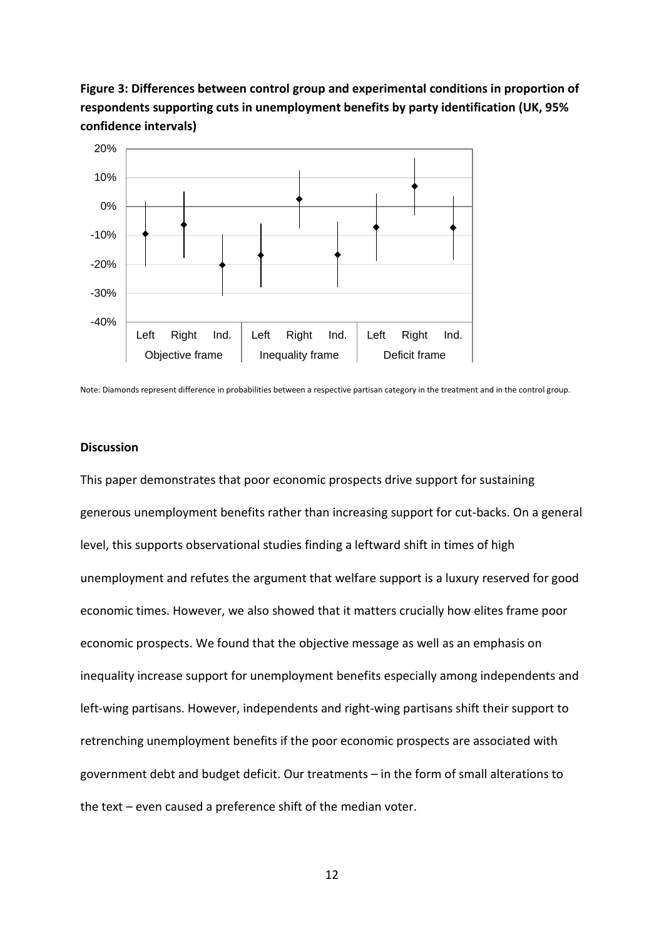**Figure 3: Differences between control group and experimental conditions in proportion of respondents supporting cuts in unemployment benefits by party identification (UK, 95% confidence intervals)**



Note: Diamonds represent difference in probabilities between a respective partisan category in the treatment and in the control group.

#### **Discussion**

This paper demonstrates that poor economic prospects drive support for sustaining generous unemployment benefits rather than increasing support for cut-backs. On a general level, this supports observational studies finding a leftward shift in times of high unemployment and refutes the argument that welfare support is a luxury reserved for good economic times. However, we also showed that it matters crucially how elites frame poor economic prospects. We found that the objective message as well as an emphasis on inequality increase support for unemployment benefits especially among independents and left-wing partisans. However, independents and right-wing partisans shift their support to retrenching unemployment benefits if the poor economic prospects are associated with government debt and budget deficit. Our treatments – in the form of small alterations to the text – even caused a preference shift of the median voter.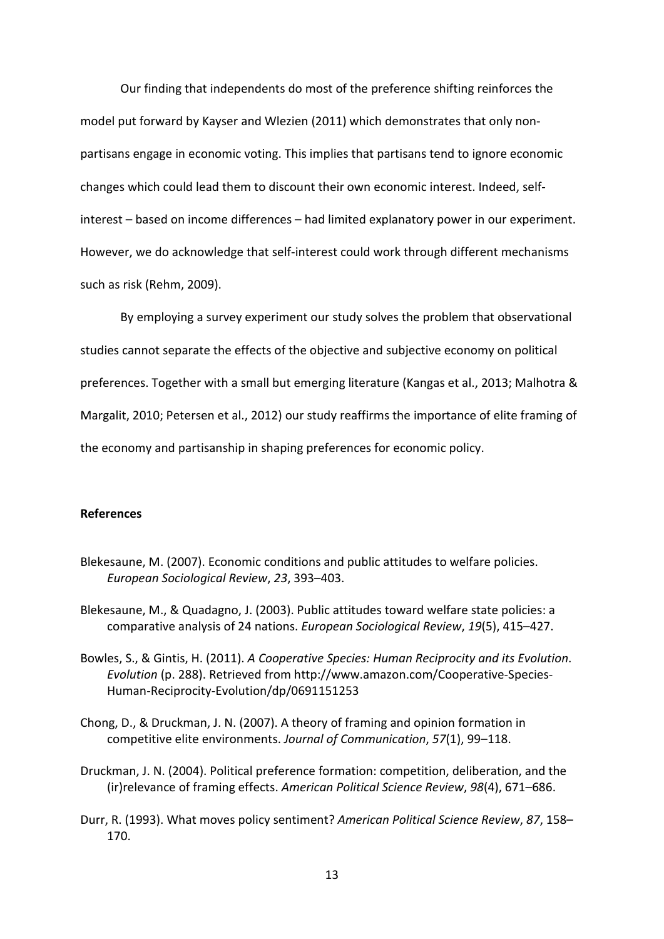Our finding that independents do most of the preference shifting reinforces the model put forward by Kayser and Wlezien (2011) which demonstrates that only nonpartisans engage in economic voting. This implies that partisans tend to ignore economic changes which could lead them to discount their own economic interest. Indeed, selfinterest – based on income differences – had limited explanatory power in our experiment. However, we do acknowledge that self-interest could work through different mechanisms such as risk (Rehm, 2009).

By employing a survey experiment our study solves the problem that observational studies cannot separate the effects of the objective and subjective economy on political preferences. Together with a small but emerging literature (Kangas et al., 2013; Malhotra & Margalit, 2010; Petersen et al., 2012) our study reaffirms the importance of elite framing of the economy and partisanship in shaping preferences for economic policy.

#### **References**

- Blekesaune, M. (2007). Economic conditions and public attitudes to welfare policies. *European Sociological Review*, *23*, 393–403.
- Blekesaune, M., & Quadagno, J. (2003). Public attitudes toward welfare state policies: a comparative analysis of 24 nations. *European Sociological Review*, *19*(5), 415–427.
- Bowles, S., & Gintis, H. (2011). *A Cooperative Species: Human Reciprocity and its Evolution*. *Evolution* (p. 288). Retrieved from http://www.amazon.com/Cooperative-Species-Human-Reciprocity-Evolution/dp/0691151253
- Chong, D., & Druckman, J. N. (2007). A theory of framing and opinion formation in competitive elite environments. *Journal of Communication*, *57*(1), 99–118.
- Druckman, J. N. (2004). Political preference formation: competition, deliberation, and the (ir)relevance of framing effects. *American Political Science Review*, *98*(4), 671–686.
- Durr, R. (1993). What moves policy sentiment? *American Political Science Review*, *87*, 158– 170.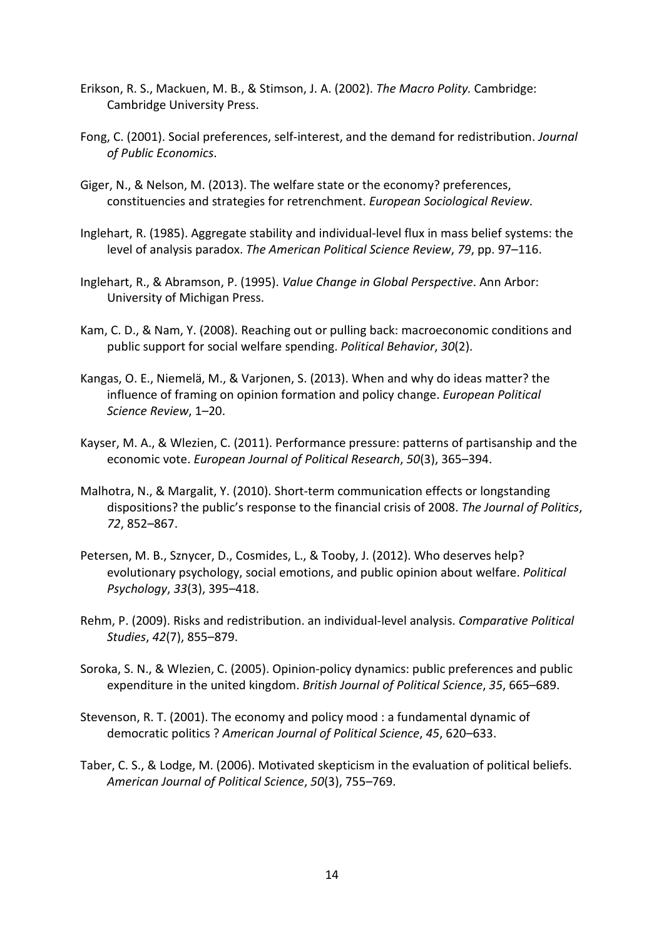- Erikson, R. S., Mackuen, M. B., & Stimson, J. A. (2002). *The Macro Polity.* Cambridge: Cambridge University Press.
- Fong, C. (2001). Social preferences, self-interest, and the demand for redistribution. *Journal of Public Economics*.
- Giger, N., & Nelson, M. (2013). The welfare state or the economy? preferences, constituencies and strategies for retrenchment. *European Sociological Review*.
- Inglehart, R. (1985). Aggregate stability and individual-level flux in mass belief systems: the level of analysis paradox. *The American Political Science Review*, *79*, pp. 97–116.
- Inglehart, R., & Abramson, P. (1995). *Value Change in Global Perspective*. Ann Arbor: University of Michigan Press.
- Kam, C. D., & Nam, Y. (2008). Reaching out or pulling back: macroeconomic conditions and public support for social welfare spending. *Political Behavior*, *30*(2).
- Kangas, O. E., Niemelä, M., & Varjonen, S. (2013). When and why do ideas matter? the influence of framing on opinion formation and policy change. *European Political Science Review*, 1–20.
- Kayser, M. A., & Wlezien, C. (2011). Performance pressure: patterns of partisanship and the economic vote. *European Journal of Political Research*, *50*(3), 365–394.
- Malhotra, N., & Margalit, Y. (2010). Short-term communication effects or longstanding dispositions? the public's response to the financial crisis of 2008. *The Journal of Politics*, *72*, 852–867.
- Petersen, M. B., Sznycer, D., Cosmides, L., & Tooby, J. (2012). Who deserves help? evolutionary psychology, social emotions, and public opinion about welfare. *Political Psychology*, *33*(3), 395–418.
- Rehm, P. (2009). Risks and redistribution. an individual-level analysis. *Comparative Political Studies*, *42*(7), 855–879.
- Soroka, S. N., & Wlezien, C. (2005). Opinion-policy dynamics: public preferences and public expenditure in the united kingdom. *British Journal of Political Science*, *35*, 665–689.
- Stevenson, R. T. (2001). The economy and policy mood : a fundamental dynamic of democratic politics ? *American Journal of Political Science*, *45*, 620–633.
- Taber, C. S., & Lodge, M. (2006). Motivated skepticism in the evaluation of political beliefs. *American Journal of Political Science*, *50*(3), 755–769.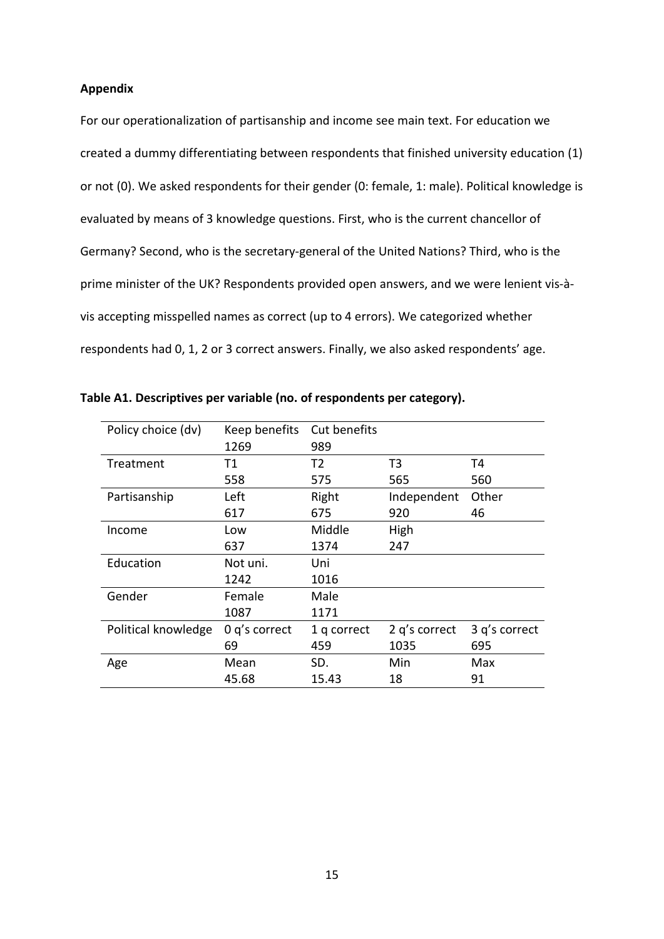#### **Appendix**

For our operationalization of partisanship and income see main text. For education we created a dummy differentiating between respondents that finished university education (1) or not (0). We asked respondents for their gender (0: female, 1: male). Political knowledge is evaluated by means of 3 knowledge questions. First, who is the current chancellor of Germany? Second, who is the secretary-general of the United Nations? Third, who is the prime minister of the UK? Respondents provided open answers, and we were lenient vis-àvis accepting misspelled names as correct (up to 4 errors). We categorized whether respondents had 0, 1, 2 or 3 correct answers. Finally, we also asked respondents' age.

| Policy choice (dv)  | Keep benefits   | Cut benefits   |                |               |
|---------------------|-----------------|----------------|----------------|---------------|
|                     | 1269            | 989            |                |               |
| Treatment           | Τ1              | T <sub>2</sub> | T <sub>3</sub> | T4            |
|                     | 558             | 575            | 565            | 560           |
| Partisanship        | Left            | Right          | Independent    | Other         |
|                     | 617             | 675            | 920            | 46            |
| Income              | Low             | Middle         | High           |               |
|                     | 637             | 1374           | 247            |               |
| Education           | Not uni.        | Uni            |                |               |
|                     | 1242            | 1016           |                |               |
| Gender              | Female          | Male           |                |               |
|                     | 1087            | 1171           |                |               |
| Political knowledge | $0$ q's correct | 1 q correct    | 2 q's correct  | 3 q's correct |
|                     | 69              | 459            | 1035           | 695           |
| Age                 | Mean            | SD.            | Min            | Max           |
|                     | 45.68           | 15.43          | 18             | 91            |

**Table A1. Descriptives per variable (no. of respondents per category).**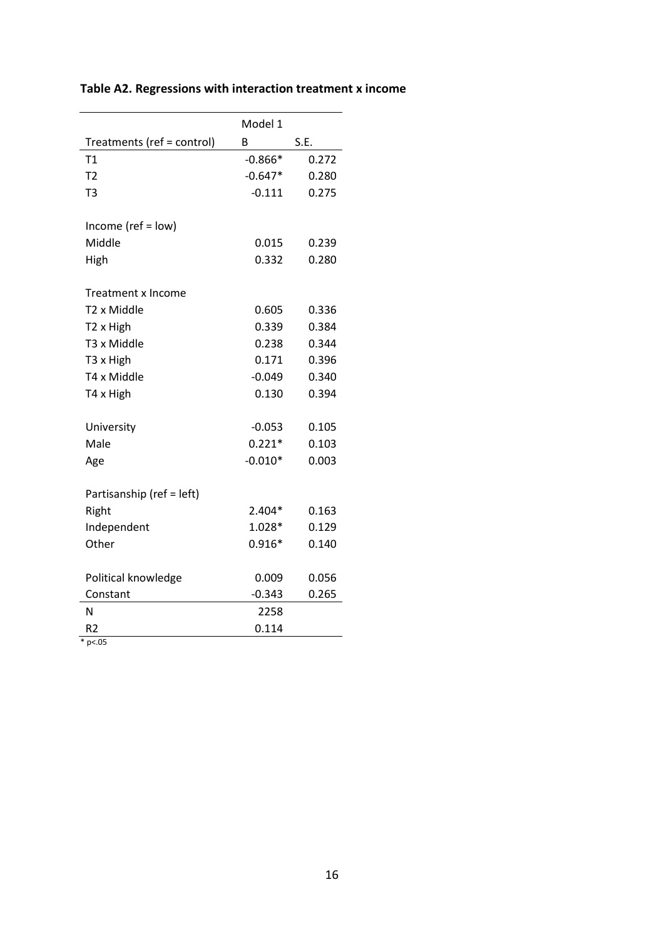|                            | Model 1   |       |
|----------------------------|-----------|-------|
| Treatments (ref = control) | В         | S.E.  |
| T1                         | $-0.866*$ | 0.272 |
| T <sub>2</sub>             | $-0.647*$ | 0.280 |
| T <sub>3</sub>             | $-0.111$  | 0.275 |
|                            |           |       |
| Income (ref = $low$ )      |           |       |
| Middle                     | 0.015     | 0.239 |
| High                       | 0.332     | 0.280 |
| Treatment x Income         |           |       |
| T2 x Middle                | 0.605     | 0.336 |
| T <sub>2</sub> x High      | 0.339     | 0.384 |
| T3 x Middle                | 0.238     | 0.344 |
| T3 x High                  | 0.171     | 0.396 |
| T4 x Middle                | $-0.049$  | 0.340 |
| T4 x High                  | 0.130     | 0.394 |
| University                 | $-0.053$  | 0.105 |
| Male                       | $0.221*$  | 0.103 |
| Age                        | $-0.010*$ | 0.003 |
|                            |           |       |
| Partisanship (ref = left)  |           |       |
| Right                      | $2.404*$  | 0.163 |
| Independent                | $1.028*$  | 0.129 |
| Other                      | $0.916*$  | 0.140 |
| Political knowledge        | 0.009     | 0.056 |
| Constant                   | $-0.343$  | 0.265 |
| N                          | 2258      |       |
| R <sub>2</sub>             | 0.114     |       |
| $*_{p<.05}$                |           |       |

### **Table A2. Regressions with interaction treatment x income**